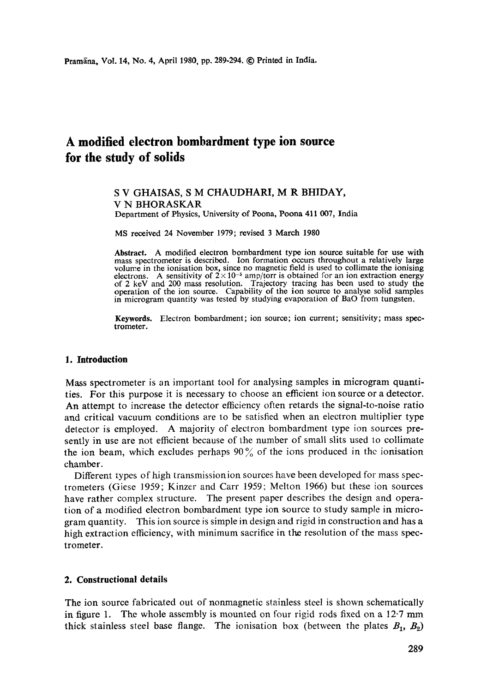# **A modified electron bombardment type ion source for the study of solids**

#### S V GHAISAS, S M CHAUDHARI, M R BHIDAY, V N BHORASKAR Department of Physics, University of Poona, Poona 411 007, India

MS received 24 November 1979; revised 3 March 1980

**Abstract.** A modified electron bombardment type ion source suitable for use with mass spectrometer is described. Ion formation occurs throughout a relatively large volume in the ionisation box, since no magnetic field is used to collimate the ionising electrons. A sensitivity of  $2 \times 10^{-5}$  amp/torr is obtained for an ion extraction energy of 2 keV and 200 mass resolution. Trajectory tracing has been used to study the operation of the ion source. Capability of the ion source to analyse solid samples in microgram quantity was tested by studying evaporation of BaO from tungsten.

**Keywords.** Electron bombardment; ion source; ion current; sensitivity; mass spectrometer.

### **1. Introduction**

Mass spectrometer is an important tool for analysing samples in microgram quantities. For this purpose it is necessary to choose an efficient ion source or a detector. An attempt to increase the detector efficiency often retards the signal-to-noise ratio and critical vacuum conditions are to be satisfied when an electron multiplier type detector is employed. A majority of electron bombardment type ion sources presently in use are not efficient because of the number of small slits used to collimate the ion beam, which excludes perhaps  $90\%$  of the ions produced in the ionisation chamber.

Different types of high transmissionion sources have been developed for mass spectrometers (Giese 1959; Kinzer and Carr 1959; Melton 1966) but these ion sources have rather complex structure. The present paper describes the design and operation of a modified electron bombardment type ion source to study sample in microgram quantity. This ion source is simple in design and rigid in construction and has a high extraction efficiency, with minimum sacrifice in the resolution of the mass spectrometer.

#### **2. Constructional details**

The ion source fabricated out of nonmagnetic stainless steel is shown schematically in figure 1. The whole assembly is mounted on four rigid rods fixed on a 12.7 mm thick stainless steel base flange. The ionisation box (between the plates  $B_1$ ,  $B_2$ )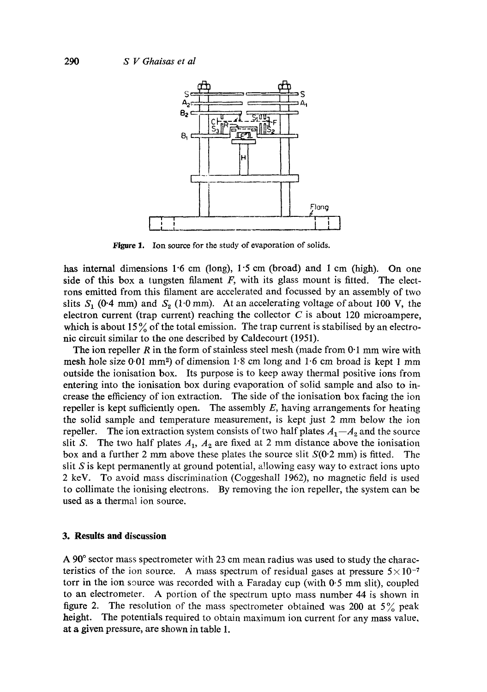

**Figure 1.**  Ion source for the study of evaporation of solids.

has internal dimensions 1.6 cm (long),  $1.5$  cm (broad) and 1 cm (high). On one side of this box a tungsten filament  $F$ , with its glass mount is fitted. The electrons emitted from this filament are accelerated and focussed by an assembly of two slits  $S_1$  (0.4 mm) and  $S_2$  (1.0 mm). At an accelerating voltage of about 100 V, the electron current (trap current) reaching the collector  $C$  is about 120 microampere, which is about 15% of the total emission. The trap current is stabilised by an electronic circuit similar to the one described by Caldecourt (1951).

The ion repeller R in the form of stainless steel mesh (made from  $0.1$  mm wire with mesh hole size  $0.01 \text{ mm}^2$  of dimension 1.8 cm long and 1.6 cm broad is kept 1 mm outside the ionisation box. Its purpose is to keep away thermal positive ions from entering into the ionisation box during evaporation of solid sample and also to increase the efficiency of ion extraction. The side of the ionisation box facing the ion repeller is kept sufficiently open. The assembly *E,* having arrangements for heating the solid sample and temperature measurement, is kept just 2 mm below the ion repeller. The ion extraction system consists of two half plates  $A_1 - A_2$  and the source slit S. The two half plates  $A_1$ ,  $A_2$  are fixed at 2 mm distance above the ionisation box and a further 2 mm above these plates the source slit  $S(0.2 \text{ mm})$  is fitted. The slit  $S$  is kept permanently at ground potential, allowing easy way to extract ions upto 2 keV. To avoid mass discrimination (Coggeshall 1962), no magnetic field is used to collimate the ionising electrons. By removing the ion repeller, the system can be used as a thermal ion source.

#### **3. Results and discussion**

A 90 ° sector mass spectrometer with 23 cm mean radius was used to study the characteristics of the ion source. A mass spectrum of residual gases at pressure  $5 \times 10^{-7}$ torr in the ion source was recorded with a Faraday cup (with  $0.5$  mm slit), coupled to an electrometer. A portion of the spectrum upto mass number 44 is shown in figure 2. The resolution of the mass spectrometer obtained was 200 at  $5\%$  peak height. The potentials required to obtain maximum ion current for any mass value, at a given pressure, are shown in table 1.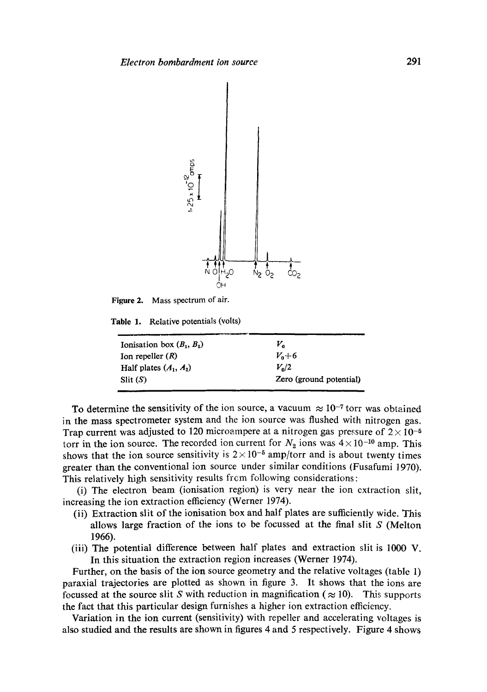

**Figure 2.**  Mass spectrum of air.

**Table 1.**  Relative potentials (volts)

| Ionisation box $(B_1, B_2)$ | V.                      |
|-----------------------------|-------------------------|
| Ion repeller $(R)$          | $V_0 + 6$               |
| Half plates $(A_1, A_2)$    | $V_{\rm o}/2$           |
| $S$ lit $(S)$               | Zero (ground potential) |

To determine the sensitivity of the ion source, a vacuum  $\approx 10^{-7}$  torr was obtained in the mass spectrometer system and the ion source was flushed with nitrogen gas. Trap current was adjusted to 120 microampere at a nitrogen gas pressure of  $2 \times 10^{-5}$ torr in the ion source. The recorded ion current for  $N_2$  ions was  $4 \times 10^{-10}$  amp. This shows that the ion source sensitivity is  $2 \times 10^{-5}$  amp/torr and is about twenty times greater than the conventional ion source under similar conditions (Fusafumi 1970). This relatively high sensitivity results frcm following considerations:

(i) The electron beam (ionisation region) is very near the ion extraction slit, increasing the ion extraction efficiency (Werner 1974).

- (ii) Extraction slit of the ionisation box and half plates are sufficiently wide. This allows large fraction of the ions to be focussed at the final slit  $S$  (Melton 1966).
- (iii) The potential difference between half plates and extraction slit is 1000 V. In this situation the extraction region increases (Werner 1974).

Further, on the basis of the ion source geometry and the relative voltages (table 1) paraxial trajectories are plotted as shown in figure 3. It shows that the ions are focussed at the source slit S with reduction in magnification ( $\approx 10$ ). This supports the fact that this particular design furnishes a higher ion extraction efficiency.

Variation in the ion current (sensitivity) with repeller and accelerating voltages is also studied and the results are shown in figures 4 and 5 respectively. Figure 4 shows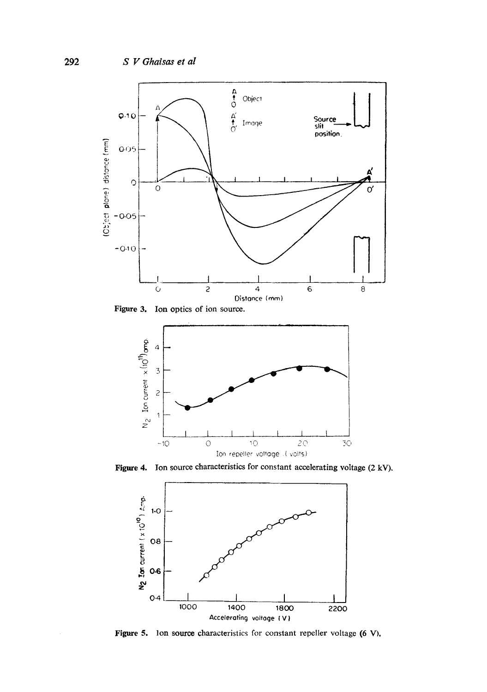

Figure 3. Ion optics of ion source.



Figure 4. Ion source characteristics for constant accelerating voltage (2 kV).



Figure 5. Ion source characteristics for constant repeller voltage (6 V),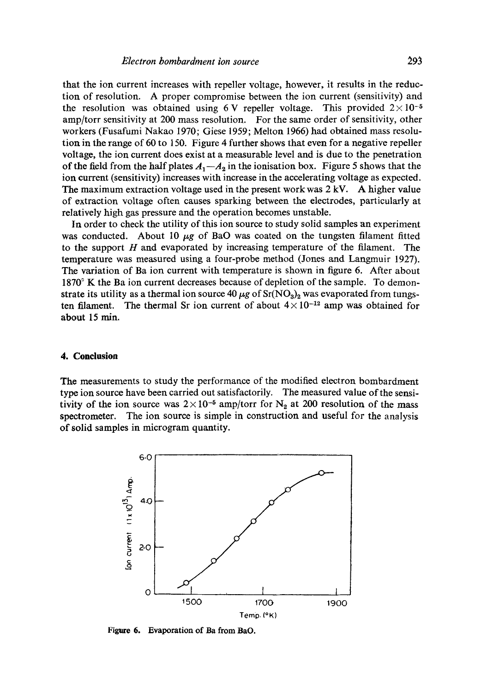that the ion current increases with repeller voltage, however, it results in the reduction of resolution. A proper compromise between the ion current (sensitivity) and the resolution was obtained using 6 V repeller voltage. This provided  $2 \times 10^{-5}$ amp/torr sensitivity at 200 mass resolution. For the same order of sensitivity, other workers (Fusafumi Nakao 1970; Giese 1959; Melton 1966) had obtained mass resolution in the range of 60 to 150. Figure 4 further shows that even for a negative repeller voltage, the ion current does exist at a measurable level and is due to the penetration of the field from the half plates  $A_1 - A_2$  in the ionisation box. Figure 5 shows that the ion current (sensitivity) increases with increase in the accelerating voltage as expected. The maximum extraction voltage used in the present work was 2 kV. A higher value of extraction voltage often causes sparking between the electrodes, particularly at relatively high gas pressure and the operation becomes unstable.

In order to check the utility of this ion source to study solid samples an experiment was conducted. About 10  $\mu$ g of BaO was coated on the tungsten filament fitted to the support  $H$  and evaporated by increasing temperature of the filament. The temperature was measured using a four-probe method (Jones and Langmuir 1927). The variation of Ba ion current with temperature is shown in figure 6. After about 1870° K the Ba ion current decreases because of depletion of the sample. To demonstrate its utility as a thermal ion source 40  $\mu$ g of Sr(NO<sub>3</sub>)<sub>2</sub> was evaporated from tungsten filament. The thermal Sr ion current of about  $4 \times 10^{-12}$  amp was obtained for about 15 min.

#### **4. Conclusion**

The measurements to study the performance of the modified electron bombardment type ion source have been carried out satisfactorily. The measured value of the sensitivity of the ion source was  $2 \times 10^{-5}$  amp/torr for N<sub>2</sub> at 200 resolution of the mass spectrometer. The ion source is simple in construction and useful for the analysis of solid samples in microgram quantity.



Figure 6. Evaporation of Ba from BaO.